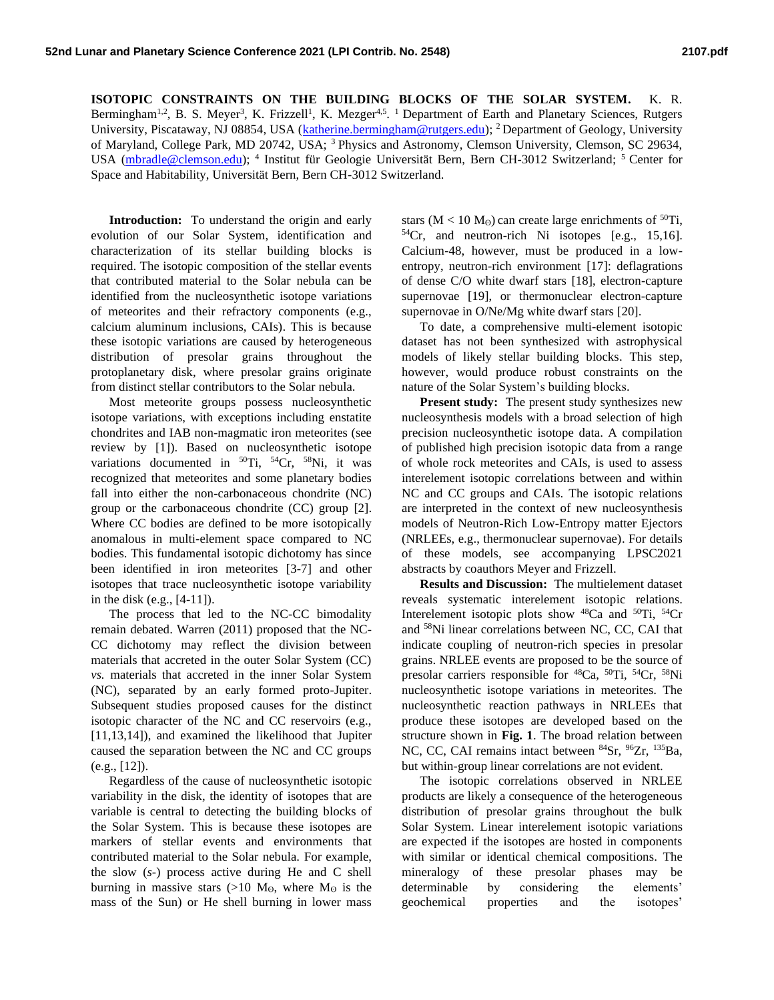**ISOTOPIC CONSTRAINTS ON THE BUILDING BLOCKS OF THE SOLAR SYSTEM.** K. R. Bermingham<sup>1,2</sup>, B. S. Meyer<sup>3</sup>, K. Frizzell<sup>1</sup>, K. Mezger<sup>4,5</sup>. <sup>1</sup> Department of Earth and Planetary Sciences, Rutgers University, Piscataway, NJ 08854, USA [\(katherine.bermingham@rutgers.edu\)](mailto:katherine.bermingham@rutgers.edu); <sup>2</sup> Department of Geology, University of Maryland, College Park, MD 20742, USA; <sup>3</sup>Physics and Astronomy, Clemson University, Clemson, SC 29634, USA [\(mbradle@clemson.edu\)](mailto:mbradle@clemson.edu); <sup>4</sup> Institut für Geologie Universität Bern, Bern CH-3012 Switzerland; <sup>5</sup> Center for Space and Habitability, Universität Bern, Bern CH-3012 Switzerland.

**Introduction:** To understand the origin and early evolution of our Solar System, identification and characterization of its stellar building blocks is required. The isotopic composition of the stellar events that contributed material to the Solar nebula can be identified from the nucleosynthetic isotope variations of meteorites and their refractory components (e.g., calcium aluminum inclusions, CAIs). This is because these isotopic variations are caused by heterogeneous distribution of presolar grains throughout the protoplanetary disk, where presolar grains originate from distinct stellar contributors to the Solar nebula.

Most meteorite groups possess nucleosynthetic isotope variations, with exceptions including enstatite chondrites and IAB non-magmatic iron meteorites (see review by [1]). Based on nucleosynthetic isotope variations documented in  ${}^{50}$ Ti,  ${}^{54}$ Cr,  ${}^{58}$ Ni, it was recognized that meteorites and some planetary bodies fall into either the non-carbonaceous chondrite (NC) group or the carbonaceous chondrite (CC) group [2]. Where CC bodies are defined to be more isotopically anomalous in multi-element space compared to NC bodies. This fundamental isotopic dichotomy has since been identified in iron meteorites [3-7] and other isotopes that trace nucleosynthetic isotope variability in the disk (e.g., [4-11]).

The process that led to the NC-CC bimodality remain debated. Warren (2011) proposed that the NC-CC dichotomy may reflect the division between materials that accreted in the outer Solar System (CC) *vs.* materials that accreted in the inner Solar System (NC), separated by an early formed proto-Jupiter. Subsequent studies proposed causes for the distinct isotopic character of the NC and CC reservoirs (e.g., [11,13,14]), and examined the likelihood that Jupiter caused the separation between the NC and CC groups (e.g., [12]).

Regardless of the cause of nucleosynthetic isotopic variability in the disk, the identity of isotopes that are variable is central to detecting the building blocks of the Solar System. This is because these isotopes are markers of stellar events and environments that contributed material to the Solar nebula. For example, the slow (*s-*) process active during He and C shell burning in massive stars (>10  $M_\odot$ , where  $M_\odot$  is the mass of the Sun) or He shell burning in lower mass

stars ( $M < 10 M<sub>o</sub>$ ) can create large enrichments of <sup>50</sup>Ti, <sup>54</sup>Cr, and neutron-rich Ni isotopes [e.g., 15,16]. Calcium-48, however, must be produced in a lowentropy, neutron-rich environment [17]: deflagrations of dense C/O white dwarf stars [18], electron-capture supernovae [19], or thermonuclear electron-capture supernovae in O/Ne/Mg white dwarf stars [20].

To date, a comprehensive multi-element isotopic dataset has not been synthesized with astrophysical models of likely stellar building blocks. This step, however, would produce robust constraints on the nature of the Solar System's building blocks.

**Present study:** The present study synthesizes new nucleosynthesis models with a broad selection of high precision nucleosynthetic isotope data. A compilation of published high precision isotopic data from a range of whole rock meteorites and CAIs, is used to assess interelement isotopic correlations between and within NC and CC groups and CAIs. The isotopic relations are interpreted in the context of new nucleosynthesis models of Neutron-Rich Low-Entropy matter Ejectors (NRLEEs, e.g., thermonuclear supernovae). For details of these models, see accompanying LPSC2021 abstracts by coauthors Meyer and Frizzell.

**Results and Discussion:** The multielement dataset reveals systematic interelement isotopic relations. Interelement isotopic plots show <sup>48</sup>Ca and <sup>50</sup>Ti, <sup>54</sup>Cr and <sup>58</sup>Ni linear correlations between NC, CC, CAI that indicate coupling of neutron-rich species in presolar grains. NRLEE events are proposed to be the source of presolar carriers responsible for <sup>48</sup>Ca, <sup>50</sup>Ti, <sup>54</sup>Cr, <sup>58</sup>Ni nucleosynthetic isotope variations in meteorites. The nucleosynthetic reaction pathways in NRLEEs that produce these isotopes are developed based on the structure shown in **Fig. 1**. The broad relation between NC, CC, CAI remains intact between <sup>84</sup>Sr, <sup>96</sup>Zr, <sup>135</sup>Ba, but within-group linear correlations are not evident.

The isotopic correlations observed in NRLEE products are likely a consequence of the heterogeneous distribution of presolar grains throughout the bulk Solar System. Linear interelement isotopic variations are expected if the isotopes are hosted in components with similar or identical chemical compositions. The mineralogy of these presolar phases may be determinable by considering the elements' geochemical properties and the isotopes'